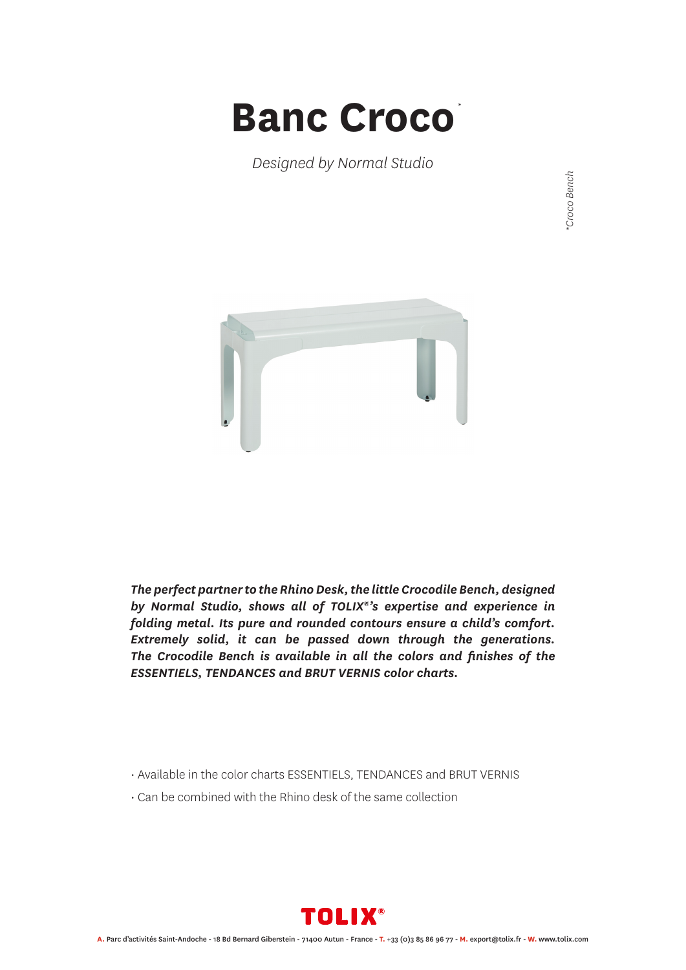## **Banc Croco** *\**

*Designed by Normal Studio*



*The perfect partner to the Rhino Desk, the little Crocodile Bench, designed by Normal Studio, shows all of TOLIX®'s expertise and experience in folding metal. Its pure and rounded contours ensure a child's comfort. Extremely solid, it can be passed down through the generations. The Crocodile Bench is available in all the colors and finishes of the ESSENTIELS, TENDANCES and BRUT VERNIS color charts.*

- Available in the color charts ESSENTIELS, TENDANCES and BRUT VERNIS
- Can be combined with the Rhino desk of the same collection